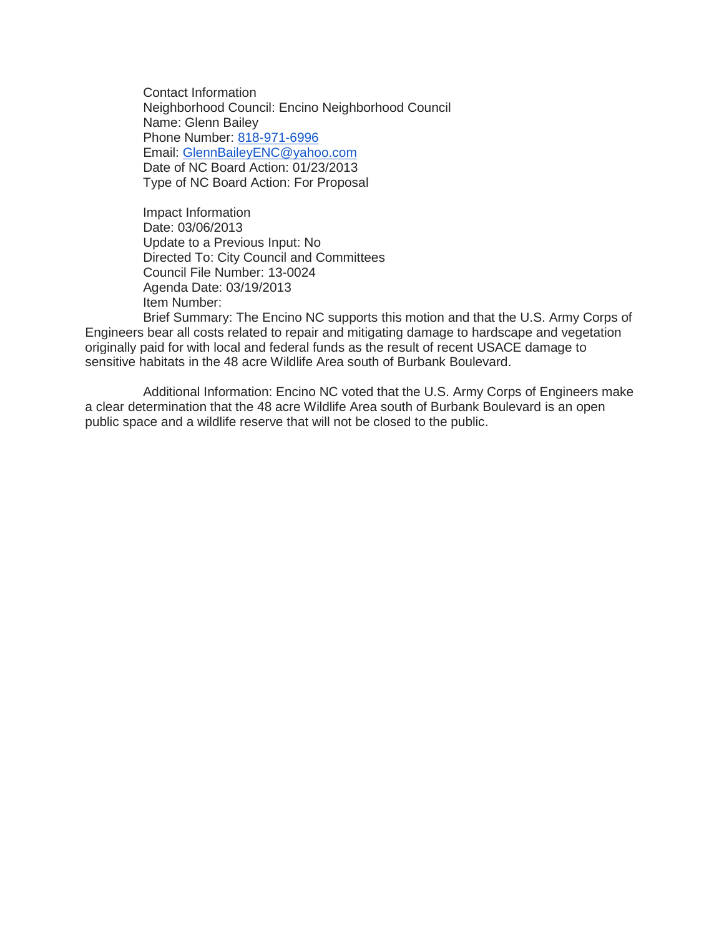Contact Information Neighborhood Council: Encino Neighborhood Council Name: Glenn Bailey Phone Number: [818-971-6996](tel:818-971-6996) Email: [GlennBaileyENC@yahoo.com](mailto:GlennBaileyENC@yahoo.com) Date of NC Board Action: 01/23/2013 Type of NC Board Action: For Proposal

Impact Information Date: 03/06/2013 Update to a Previous Input: No Directed To: City Council and Committees Council File Number: 13-0024 Agenda Date: 03/19/2013 Item Number:

Brief Summary: The Encino NC supports this motion and that the U.S. Army Corps of Engineers bear all costs related to repair and mitigating damage to hardscape and vegetation originally paid for with local and federal funds as the result of recent USACE damage to sensitive habitats in the 48 acre Wildlife Area south of Burbank Boulevard.

Additional Information: Encino NC voted that the U.S. Army Corps of Engineers make a clear determination that the 48 acre Wildlife Area south of Burbank Boulevard is an open public space and a wildlife reserve that will not be closed to the public.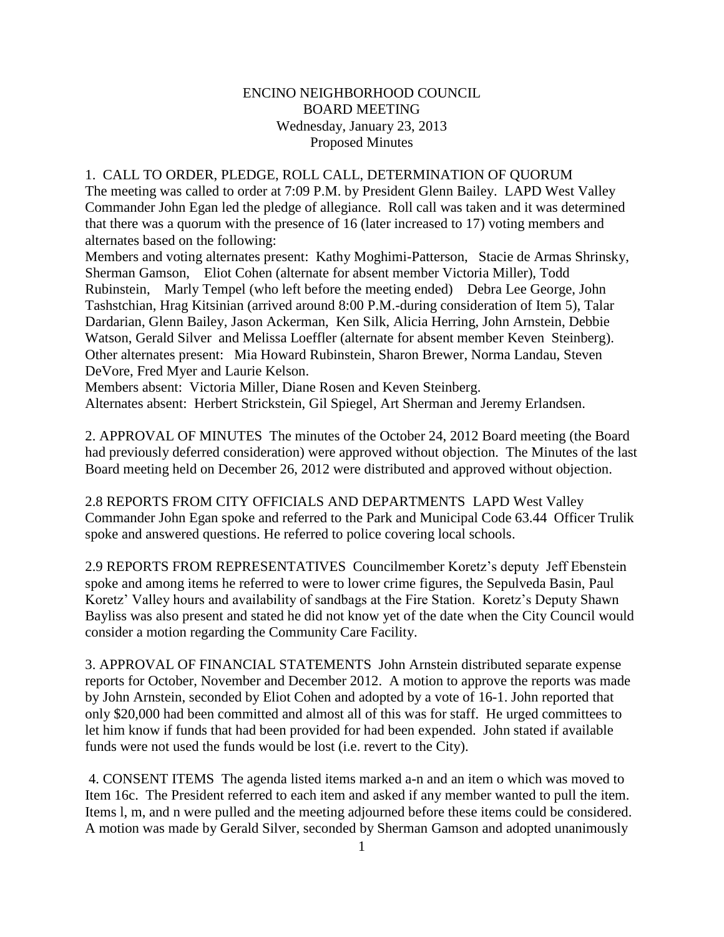## ENCINO NEIGHBORHOOD COUNCIL BOARD MEETING Wednesday, January 23, 2013 Proposed Minutes

## 1. CALL TO ORDER, PLEDGE, ROLL CALL, DETERMINATION OF QUORUM

The meeting was called to order at 7:09 P.M. by President Glenn Bailey. LAPD West Valley Commander John Egan led the pledge of allegiance. Roll call was taken and it was determined that there was a quorum with the presence of 16 (later increased to 17) voting members and alternates based on the following:

Members and voting alternates present: Kathy Moghimi-Patterson, Stacie de Armas Shrinsky, Sherman Gamson, Eliot Cohen (alternate for absent member Victoria Miller), Todd Rubinstein, Marly Tempel (who left before the meeting ended) Debra Lee George, John Tashstchian, Hrag Kitsinian (arrived around 8:00 P.M.-during consideration of Item 5), Talar Dardarian, Glenn Bailey, Jason Ackerman, Ken Silk, Alicia Herring, John Arnstein, Debbie Watson, Gerald Silver and Melissa Loeffler (alternate for absent member Keven Steinberg). Other alternates present: Mia Howard Rubinstein, Sharon Brewer, Norma Landau, Steven DeVore, Fred Myer and Laurie Kelson.

Members absent: Victoria Miller, Diane Rosen and Keven Steinberg. Alternates absent: Herbert Strickstein, Gil Spiegel, Art Sherman and Jeremy Erlandsen.

2. APPROVAL OF MINUTES The minutes of the October 24, 2012 Board meeting (the Board had previously deferred consideration) were approved without objection. The Minutes of the last Board meeting held on December 26, 2012 were distributed and approved without objection.

2.8 REPORTS FROM CITY OFFICIALS AND DEPARTMENTS LAPD West Valley Commander John Egan spoke and referred to the Park and Municipal Code 63.44 Officer Trulik spoke and answered questions. He referred to police covering local schools.

2.9 REPORTS FROM REPRESENTATIVES Councilmember Koretz's deputy Jeff Ebenstein spoke and among items he referred to were to lower crime figures, the Sepulveda Basin, Paul Koretz' Valley hours and availability of sandbags at the Fire Station. Koretz's Deputy Shawn Bayliss was also present and stated he did not know yet of the date when the City Council would consider a motion regarding the Community Care Facility.

3. APPROVAL OF FINANCIAL STATEMENTS John Arnstein distributed separate expense reports for October, November and December 2012. A motion to approve the reports was made by John Arnstein, seconded by Eliot Cohen and adopted by a vote of 16-1. John reported that only \$20,000 had been committed and almost all of this was for staff. He urged committees to let him know if funds that had been provided for had been expended. John stated if available funds were not used the funds would be lost (i.e. revert to the City).

4. CONSENT ITEMS The agenda listed items marked a-n and an item o which was moved to Item 16c. The President referred to each item and asked if any member wanted to pull the item. Items l, m, and n were pulled and the meeting adjourned before these items could be considered. A motion was made by Gerald Silver, seconded by Sherman Gamson and adopted unanimously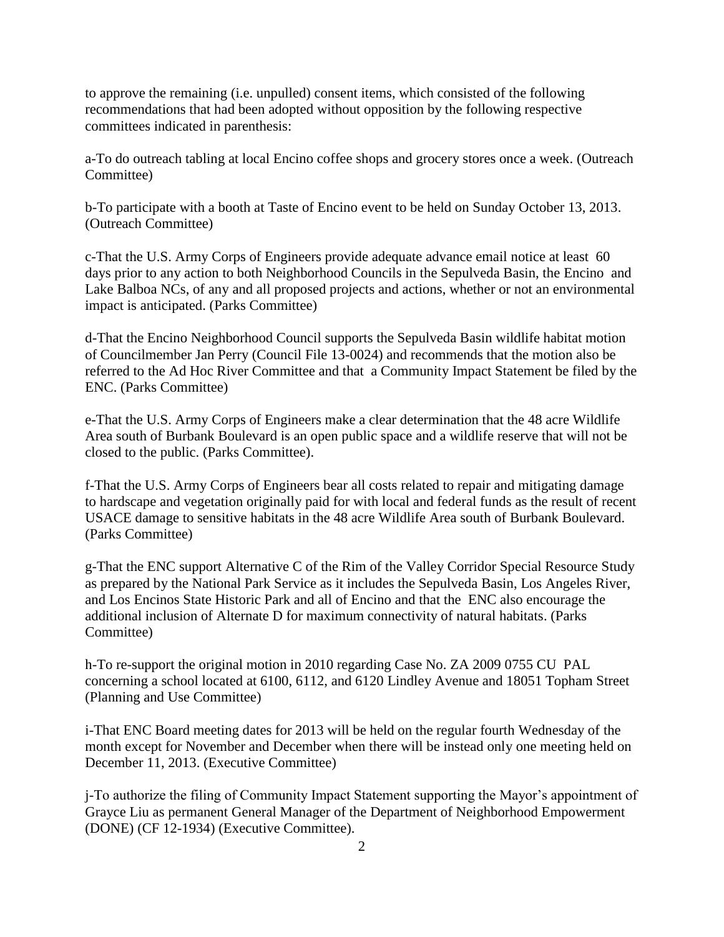to approve the remaining (i.e. unpulled) consent items, which consisted of the following recommendations that had been adopted without opposition by the following respective committees indicated in parenthesis:

a-To do outreach tabling at local Encino coffee shops and grocery stores once a week. (Outreach Committee)

b-To participate with a booth at Taste of Encino event to be held on Sunday October 13, 2013. (Outreach Committee)

c-That the U.S. Army Corps of Engineers provide adequate advance email notice at least 60 days prior to any action to both Neighborhood Councils in the Sepulveda Basin, the Encino and Lake Balboa NCs, of any and all proposed projects and actions, whether or not an environmental impact is anticipated. (Parks Committee)

d-That the Encino Neighborhood Council supports the Sepulveda Basin wildlife habitat motion of Councilmember Jan Perry (Council File 13-0024) and recommends that the motion also be referred to the Ad Hoc River Committee and that a Community Impact Statement be filed by the ENC. (Parks Committee)

e-That the U.S. Army Corps of Engineers make a clear determination that the 48 acre Wildlife Area south of Burbank Boulevard is an open public space and a wildlife reserve that will not be closed to the public. (Parks Committee).

f-That the U.S. Army Corps of Engineers bear all costs related to repair and mitigating damage to hardscape and vegetation originally paid for with local and federal funds as the result of recent USACE damage to sensitive habitats in the 48 acre Wildlife Area south of Burbank Boulevard. (Parks Committee)

g-That the ENC support Alternative C of the Rim of the Valley Corridor Special Resource Study as prepared by the National Park Service as it includes the Sepulveda Basin, Los Angeles River, and Los Encinos State Historic Park and all of Encino and that the ENC also encourage the additional inclusion of Alternate D for maximum connectivity of natural habitats. (Parks Committee)

h-To re-support the original motion in 2010 regarding Case No. ZA 2009 0755 CU PAL concerning a school located at 6100, 6112, and 6120 Lindley Avenue and 18051 Topham Street (Planning and Use Committee)

i-That ENC Board meeting dates for 2013 will be held on the regular fourth Wednesday of the month except for November and December when there will be instead only one meeting held on December 11, 2013. (Executive Committee)

j-To authorize the filing of Community Impact Statement supporting the Mayor's appointment of Grayce Liu as permanent General Manager of the Department of Neighborhood Empowerment (DONE) (CF 12-1934) (Executive Committee).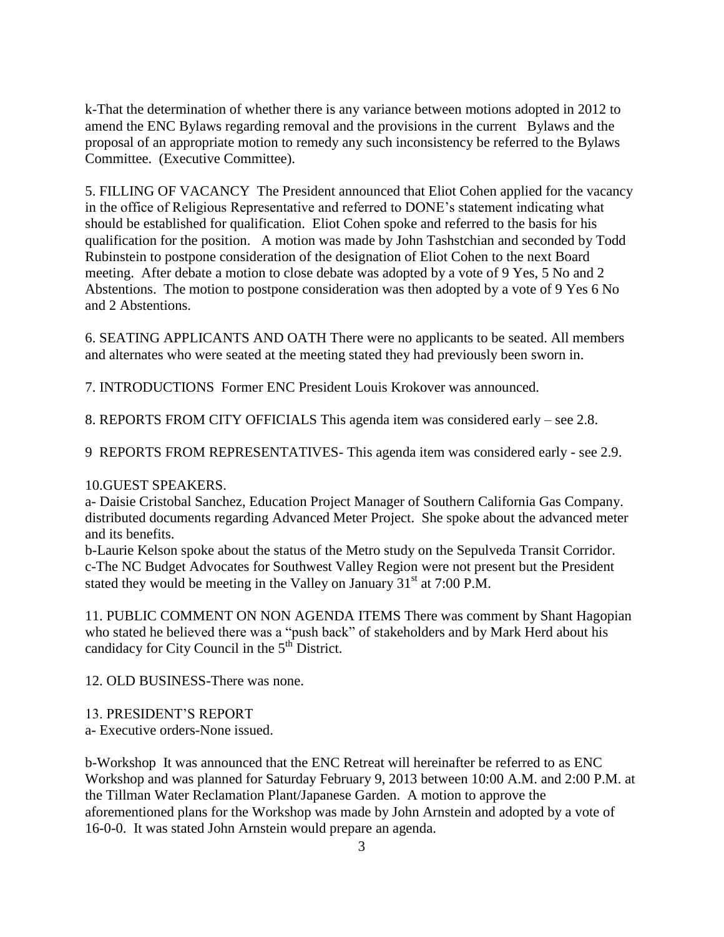k-That the determination of whether there is any variance between motions adopted in 2012 to amend the ENC Bylaws regarding removal and the provisions in the current Bylaws and the proposal of an appropriate motion to remedy any such inconsistency be referred to the Bylaws Committee. (Executive Committee).

5. FILLING OF VACANCY The President announced that Eliot Cohen applied for the vacancy in the office of Religious Representative and referred to DONE's statement indicating what should be established for qualification. Eliot Cohen spoke and referred to the basis for his qualification for the position. A motion was made by John Tashstchian and seconded by Todd Rubinstein to postpone consideration of the designation of Eliot Cohen to the next Board meeting. After debate a motion to close debate was adopted by a vote of 9 Yes, 5 No and 2 Abstentions. The motion to postpone consideration was then adopted by a vote of 9 Yes 6 No and 2 Abstentions.

6. SEATING APPLICANTS AND OATH There were no applicants to be seated. All members and alternates who were seated at the meeting stated they had previously been sworn in.

7. INTRODUCTIONS Former ENC President Louis Krokover was announced.

8. REPORTS FROM CITY OFFICIALS This agenda item was considered early – see 2.8.

9 REPORTS FROM REPRESENTATIVES- This agenda item was considered early - see 2.9.

## 10.GUEST SPEAKERS.

a- Daisie Cristobal Sanchez, Education Project Manager of Southern California Gas Company. distributed documents regarding Advanced Meter Project. She spoke about the advanced meter and its benefits.

b-Laurie Kelson spoke about the status of the Metro study on the Sepulveda Transit Corridor. c-The NC Budget Advocates for Southwest Valley Region were not present but the President stated they would be meeting in the Valley on January  $31<sup>st</sup>$  at 7:00 P.M.

11. PUBLIC COMMENT ON NON AGENDA ITEMS There was comment by Shant Hagopian who stated he believed there was a "push back" of stakeholders and by Mark Herd about his candidacy for City Council in the  $5<sup>th</sup>$  District.

12. OLD BUSINESS-There was none.

13. PRESIDENT'S REPORT

a- Executive orders-None issued.

b-Workshop It was announced that the ENC Retreat will hereinafter be referred to as ENC Workshop and was planned for Saturday February 9, 2013 between 10:00 A.M. and 2:00 P.M. at the Tillman Water Reclamation Plant/Japanese Garden. A motion to approve the aforementioned plans for the Workshop was made by John Arnstein and adopted by a vote of 16-0-0. It was stated John Arnstein would prepare an agenda.